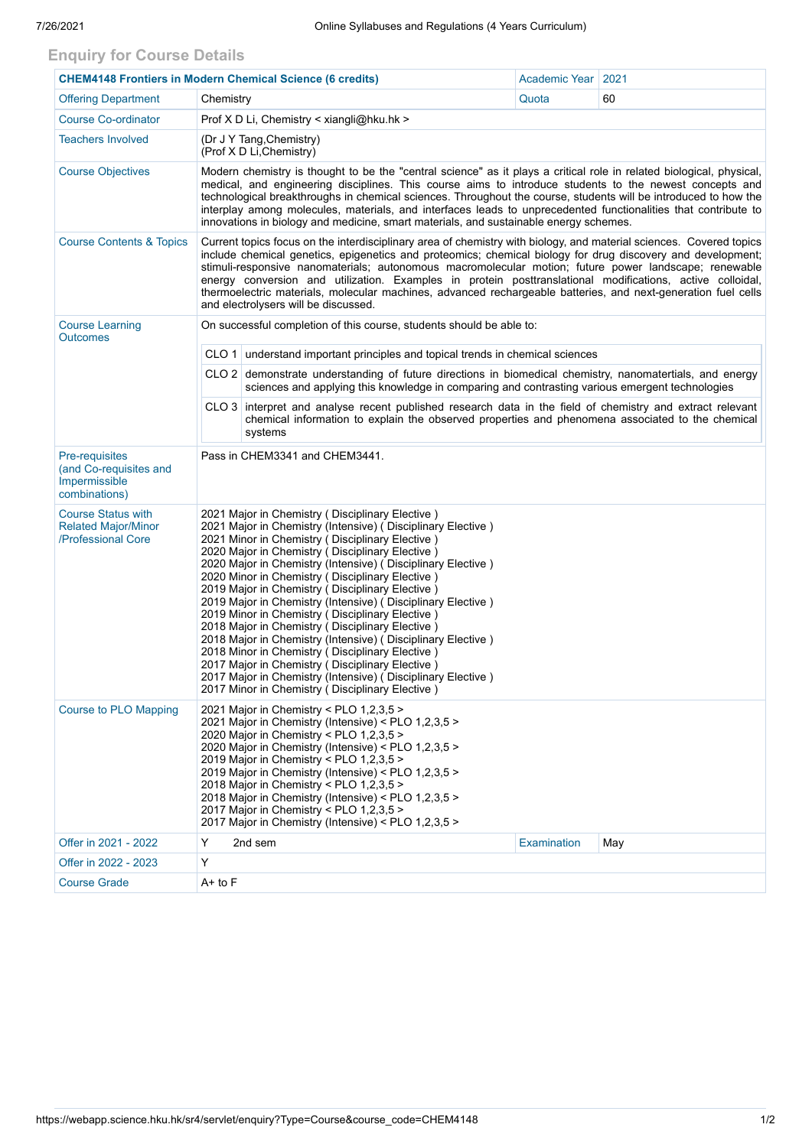## **Enquiry for Course Details**

| <b>CHEM4148 Frontiers in Modern Chemical Science (6 credits)</b>              |                                                                                                                                                                                                                                                                                                                                                                                                                                                                                                                                                                                                                                                                                                                                                                                                                                                       | Academic Year                                                                                                                                                                                               | 2021        |     |  |  |  |  |  |
|-------------------------------------------------------------------------------|-------------------------------------------------------------------------------------------------------------------------------------------------------------------------------------------------------------------------------------------------------------------------------------------------------------------------------------------------------------------------------------------------------------------------------------------------------------------------------------------------------------------------------------------------------------------------------------------------------------------------------------------------------------------------------------------------------------------------------------------------------------------------------------------------------------------------------------------------------|-------------------------------------------------------------------------------------------------------------------------------------------------------------------------------------------------------------|-------------|-----|--|--|--|--|--|
| <b>Offering Department</b>                                                    | Chemistry                                                                                                                                                                                                                                                                                                                                                                                                                                                                                                                                                                                                                                                                                                                                                                                                                                             |                                                                                                                                                                                                             | Quota       | 60  |  |  |  |  |  |
| <b>Course Co-ordinator</b>                                                    | Prof X D Li, Chemistry < xiangli@hku.hk >                                                                                                                                                                                                                                                                                                                                                                                                                                                                                                                                                                                                                                                                                                                                                                                                             |                                                                                                                                                                                                             |             |     |  |  |  |  |  |
| <b>Teachers Involved</b>                                                      | (Dr J Y Tang, Chemistry)<br>(Prof X D Li, Chemistry)                                                                                                                                                                                                                                                                                                                                                                                                                                                                                                                                                                                                                                                                                                                                                                                                  |                                                                                                                                                                                                             |             |     |  |  |  |  |  |
| <b>Course Objectives</b>                                                      | Modern chemistry is thought to be the "central science" as it plays a critical role in related biological, physical,<br>medical, and engineering disciplines. This course aims to introduce students to the newest concepts and<br>technological breakthroughs in chemical sciences. Throughout the course, students will be introduced to how the<br>interplay among molecules, materials, and interfaces leads to unprecedented functionalities that contribute to<br>innovations in biology and medicine, smart materials, and sustainable energy schemes.                                                                                                                                                                                                                                                                                         |                                                                                                                                                                                                             |             |     |  |  |  |  |  |
| <b>Course Contents &amp; Topics</b>                                           | Current topics focus on the interdisciplinary area of chemistry with biology, and material sciences. Covered topics<br>include chemical genetics, epigenetics and proteomics; chemical biology for drug discovery and development;<br>stimuli-responsive nanomaterials; autonomous macromolecular motion; future power landscape; renewable<br>energy conversion and utilization. Examples in protein posttranslational modifications, active colloidal,<br>thermoelectric materials, molecular machines, advanced rechargeable batteries, and next-generation fuel cells<br>and electrolysers will be discussed.                                                                                                                                                                                                                                     |                                                                                                                                                                                                             |             |     |  |  |  |  |  |
| <b>Course Learning</b><br><b>Outcomes</b>                                     | On successful completion of this course, students should be able to:                                                                                                                                                                                                                                                                                                                                                                                                                                                                                                                                                                                                                                                                                                                                                                                  |                                                                                                                                                                                                             |             |     |  |  |  |  |  |
|                                                                               |                                                                                                                                                                                                                                                                                                                                                                                                                                                                                                                                                                                                                                                                                                                                                                                                                                                       | CLO 1 understand important principles and topical trends in chemical sciences                                                                                                                               |             |     |  |  |  |  |  |
|                                                                               |                                                                                                                                                                                                                                                                                                                                                                                                                                                                                                                                                                                                                                                                                                                                                                                                                                                       | CLO 2 demonstrate understanding of future directions in biomedical chemistry, nanomatertials, and energy<br>sciences and applying this knowledge in comparing and contrasting various emergent technologies |             |     |  |  |  |  |  |
|                                                                               | CLO 3 interpret and analyse recent published research data in the field of chemistry and extract relevant<br>chemical information to explain the observed properties and phenomena associated to the chemical<br>systems                                                                                                                                                                                                                                                                                                                                                                                                                                                                                                                                                                                                                              |                                                                                                                                                                                                             |             |     |  |  |  |  |  |
| Pre-requisites<br>(and Co-requisites and<br>Impermissible<br>combinations)    | Pass in CHEM3341 and CHEM3441.                                                                                                                                                                                                                                                                                                                                                                                                                                                                                                                                                                                                                                                                                                                                                                                                                        |                                                                                                                                                                                                             |             |     |  |  |  |  |  |
| <b>Course Status with</b><br><b>Related Major/Minor</b><br>/Professional Core | 2021 Major in Chemistry (Disciplinary Elective)<br>2021 Major in Chemistry (Intensive) (Disciplinary Elective)<br>2021 Minor in Chemistry (Disciplinary Elective)<br>2020 Major in Chemistry (Disciplinary Elective)<br>2020 Major in Chemistry (Intensive) (Disciplinary Elective)<br>2020 Minor in Chemistry (Disciplinary Elective)<br>2019 Major in Chemistry (Disciplinary Elective)<br>2019 Major in Chemistry (Intensive) (Disciplinary Elective)<br>2019 Minor in Chemistry (Disciplinary Elective)<br>2018 Major in Chemistry (Disciplinary Elective)<br>2018 Major in Chemistry (Intensive) (Disciplinary Elective)<br>2018 Minor in Chemistry (Disciplinary Elective)<br>2017 Major in Chemistry (Disciplinary Elective)<br>2017 Major in Chemistry (Intensive) (Disciplinary Elective)<br>2017 Minor in Chemistry (Disciplinary Elective) |                                                                                                                                                                                                             |             |     |  |  |  |  |  |
| <b>Course to PLO Mapping</b>                                                  | 2021 Major in Chemistry < PLO 1,2,3,5 ><br>2021 Major in Chemistry (Intensive) < PLO 1,2,3,5 ><br>2020 Major in Chemistry < PLO 1,2,3,5 ><br>2020 Major in Chemistry (Intensive) < PLO 1,2,3,5 ><br>2019 Major in Chemistry < PLO 1,2,3,5 ><br>2019 Major in Chemistry (Intensive) < PLO 1,2,3,5 ><br>2018 Major in Chemistry < PLO 1,2,3,5 ><br>2018 Major in Chemistry (Intensive) < PLO 1,2,3,5 ><br>2017 Major in Chemistry < PLO 1,2,3,5 ><br>2017 Major in Chemistry (Intensive) < PLO 1,2,3,5 >                                                                                                                                                                                                                                                                                                                                                |                                                                                                                                                                                                             |             |     |  |  |  |  |  |
| Offer in 2021 - 2022                                                          | Y                                                                                                                                                                                                                                                                                                                                                                                                                                                                                                                                                                                                                                                                                                                                                                                                                                                     | 2nd sem                                                                                                                                                                                                     | Examination | May |  |  |  |  |  |
| Offer in 2022 - 2023                                                          | Υ                                                                                                                                                                                                                                                                                                                                                                                                                                                                                                                                                                                                                                                                                                                                                                                                                                                     |                                                                                                                                                                                                             |             |     |  |  |  |  |  |
| <b>Course Grade</b>                                                           | A+ to F                                                                                                                                                                                                                                                                                                                                                                                                                                                                                                                                                                                                                                                                                                                                                                                                                                               |                                                                                                                                                                                                             |             |     |  |  |  |  |  |